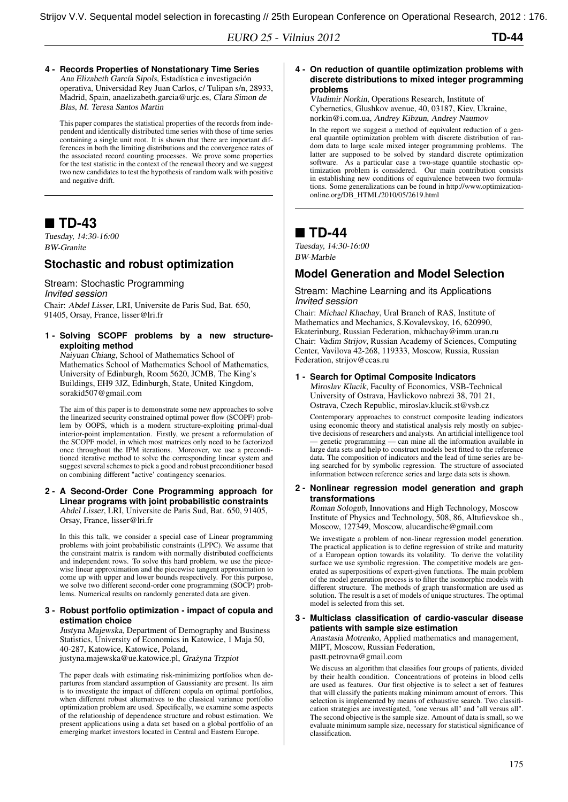EURO 25 - Vilnius 2012 **TD-44**

**4 - Records Properties of Nonstationary Time Series** Ana Elizabeth García Sipols, Estadística e investigación operativa, Universidad Rey Juan Carlos, c/ Tulipan s/n, 28933, Madrid, Spain, anaelizabeth.garcia@urjc.es, Clara Simon de Blas, M. Teresa Santos Martin

This paper compares the statistical properties of the records from independent and identically distributed time series with those of time series containing a single unit root. It is shown that there are important differences in both the limiting distributions and the convergence rates of the associated record counting processes. We prove some properties for the test statistic in the context of the renewal theory and we suggest two new candidates to test the hypothesis of random walk with positive and negative drift.

# ■ TD-43

Tuesday, 14:30-16:00 BW-Granite

### **Stochastic and robust optimization**

Stream: Stochastic Programming *Invited session* Chair: Abdel Lisser, LRI, Universite de Paris Sud, Bat. 650, 91405, Orsay, France, lisser@lri.fr

**1 - Solving SCOPF problems by a new structureexploiting method**

Naiyuan Chiang, School of Mathematics School of Mathematics School of Mathematics School of Mathematics, University of Edinburgh, Room 5620, JCMB, The King's Buildings, EH9 3JZ, Edinburgh, State, United Kingdom, sorakid507@gmail.com

The aim of this paper is to demonstrate some new approaches to solve the linearized security constrained optimal power flow (SCOPF) problem by OOPS, which is a modern structure-exploiting primal-dual interior-point implementation. Firstly, we present a reformulation of the SCOPF model, in which most matrices only need to be factorized once throughout the IPM iterations. Moreover, we use a preconditioned iterative method to solve the corresponding linear system and suggest several schemes to pick a good and robust preconditioner based on combining different "active' contingency scenarios.

#### **2 - A Second-Order Cone Programming approach for Linear programs with joint probabilistic constraints** Abdel Lisser, LRI, Universite de Paris Sud, Bat. 650, 91405, Orsay, France, lisser@lri.fr

In this this talk, we consider a special case of Linear programming problems with joint probabilistic constraints (LPPC). We assume that the constraint matrix is random with normally distributed coefficients and independent rows. To solve this hard problem, we use the piecewise linear approximation and the piecewise tangent approximation to come up with upper and lower bounds respectively. For this purpose, we solve two different second-order cone programming (SOCP) problems. Numerical results on randomly generated data are given.

#### **3 - Robust portfolio optimization - impact of copula and estimation choice**

Justyna Majewska, Department of Demography and Business Statistics, University of Economics in Katowice, 1 Maja 50, 40-287, Katowice, Katowice, Poland, justyna.majewska@ue.katowice.pl, Grażyna Trzpiot

The paper deals with estimating risk-minimizing portfolios when departures from standard assumption of Gaussianity are present. Its aim is to investigate the impact of different copula on optimal portfolios, when different robust alternatives to the classical variance portfolio optimization problem are used. Specifically, we examine some aspects of the relationship of dependence structure and robust estimation. We present applications using a data set based on a global portfolio of an emerging market investors located in Central and Eastern Europe.

**4 - On reduction of quantile optimization problems with discrete distributions to mixed integer programming problems**

Vladimir Norkin, Operations Research, Institute of Cybernetics, Glushkov avenue, 40, 03187, Kiev, Ukraine, norkin@i.com.ua, Andrey Kibzun, Andrey Naumov

In the report we suggest a method of equivalent reduction of a general quantile optimization problem with discrete distribution of random data to large scale mixed integer programming problems. The latter are supposed to be solved by standard discrete optimization software. As a particular case a two-stage quantile stochastic optimization problem is considered. Our main contribution consists in establishing new conditions of equivalence between two formulations. Some generalizations can be found in http://www.optimizationonline.org/DB\_HTML/2010/05/2619.html

## ■ TD-44

Tuesday, 14:30-16:00 BW-Marble

## **Model Generation and Model Selection**

#### Stream: Machine Learning and its Applications *Invited session*

Chair: Michael Khachay, Ural Branch of RAS, Institute of Mathematics and Mechanics, S.Kovalevskoy, 16, 620990, Ekaterinburg, Russian Federation, mkhachay@imm.uran.ru Chair: Vadim Strijov, Russian Academy of Sciences, Computing Center, Vavilova 42-268, 119333, Moscow, Russia, Russian Federation, strijov@ccas.ru

# **1 - Search for Optimal Composite Indicators**

Miroslav Klucik, Faculty of Economics, VSB-Technical University of Ostrava, Havlickovo nabrezi 38, 701 21, Ostrava, Czech Republic, miroslav.klucik.st@vsb.cz

Contemporary approaches to construct composite leading indicators using economic theory and statistical analysis rely mostly on subjective decisions of researchers and analysts. An artificial intelligence tool — genetic programming — can mine all the information available in large data sets and help to construct models best fitted to the reference data. The composition of indicators and the lead of time series are being searched for by symbolic regression. The structure of associated information between reference series and large data sets is shown.

#### **2 - Nonlinear regression model generation and graph transformations**

Roman Sologub, Innovations and High Technology, Moscow Institute of Physics and Technology, 508, 86, Altufievskoe sh., Moscow, 127349, Moscow, alucardische@gmail.com

We investigate a problem of non-linear regression model generation. The practical application is to define regression of strike and maturity of a European option towards its volatility. To derive the volatility surface we use symbolic regression. The competitive models are generated as superpositions of expert-given functions. The main problem of the model generation process is to filter the isomorphic models with different structure. The methods of graph transformation are used as solution. The result is a set of models of unique structures. The optimal model is selected from this set.

#### **3 - Multiclass classification of cardio-vascular disease patients with sample size estimation**

Anastasia Motrenko, Applied mathematics and management, MIPT, Moscow, Russian Federation,

pastt.petrovna@gmail.com

We discuss an algorithm that classifies four groups of patients, divided by their health condition. Concentrations of proteins in blood cells are used as features. Our first objective is to select a set of features that will classify the patients making minimum amount of errors. This selection is implemented by means of exhaustive search. Two classification strategies are investigated, "one versus all" and "all versus all". The second objective is the sample size. Amount of data is small, so we evaluate minimum sample size, necessary for statistical significance of classification.